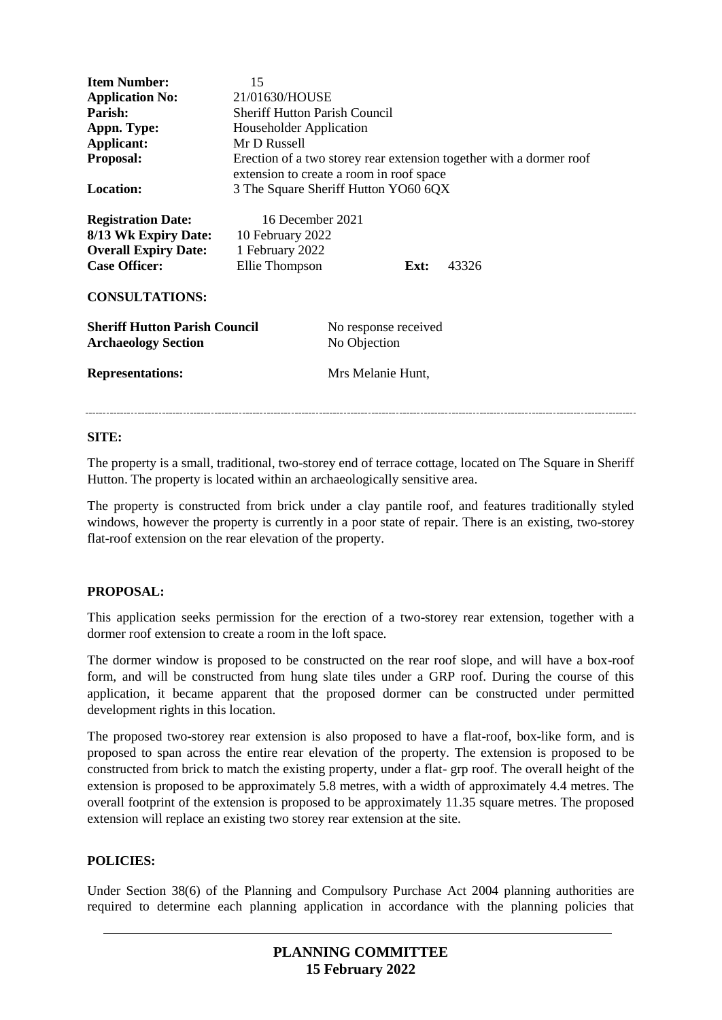| <b>Item Number:</b><br><b>Application No:</b><br>Parish:<br>Appn. Type:<br>Applicant:<br>Proposal:<br>Location:<br><b>Registration Date:</b><br>8/13 Wk Expiry Date:<br><b>Overall Expiry Date:</b><br><b>Case Officer:</b> | 15<br>21/01630/HOUSE<br><b>Sheriff Hutton Parish Council</b><br>Householder Application<br>Mr D Russell<br>Erection of a two storey rear extension together with a dormer roof<br>extension to create a room in roof space<br>3 The Square Sheriff Hutton YO60 6QX<br>16 December 2021<br>10 February 2022<br>1 February 2022<br>Ellie Thompson<br>43326<br>Ext: |                                      |  |  |
|-----------------------------------------------------------------------------------------------------------------------------------------------------------------------------------------------------------------------------|------------------------------------------------------------------------------------------------------------------------------------------------------------------------------------------------------------------------------------------------------------------------------------------------------------------------------------------------------------------|--------------------------------------|--|--|
| <b>CONSULTATIONS:</b>                                                                                                                                                                                                       |                                                                                                                                                                                                                                                                                                                                                                  |                                      |  |  |
| <b>Sheriff Hutton Parish Council</b><br><b>Archaeology Section</b>                                                                                                                                                          |                                                                                                                                                                                                                                                                                                                                                                  | No response received<br>No Objection |  |  |
| <b>Representations:</b>                                                                                                                                                                                                     |                                                                                                                                                                                                                                                                                                                                                                  | Mrs Melanie Hunt,                    |  |  |

## **SITE:**

The property is a small, traditional, two-storey end of terrace cottage, located on The Square in Sheriff Hutton. The property is located within an archaeologically sensitive area.

The property is constructed from brick under a clay pantile roof, and features traditionally styled windows, however the property is currently in a poor state of repair. There is an existing, two-storey flat-roof extension on the rear elevation of the property.

# **PROPOSAL:**

This application seeks permission for the erection of a two-storey rear extension, together with a dormer roof extension to create a room in the loft space.

The dormer window is proposed to be constructed on the rear roof slope, and will have a box-roof form, and will be constructed from hung slate tiles under a GRP roof. During the course of this application, it became apparent that the proposed dormer can be constructed under permitted development rights in this location.

The proposed two-storey rear extension is also proposed to have a flat-roof, box-like form, and is proposed to span across the entire rear elevation of the property. The extension is proposed to be constructed from brick to match the existing property, under a flat- grp roof. The overall height of the extension is proposed to be approximately 5.8 metres, with a width of approximately 4.4 metres. The overall footprint of the extension is proposed to be approximately 11.35 square metres. The proposed extension will replace an existing two storey rear extension at the site.

## **POLICIES:**

Under Section 38(6) of the Planning and Compulsory Purchase Act 2004 planning authorities are required to determine each planning application in accordance with the planning policies that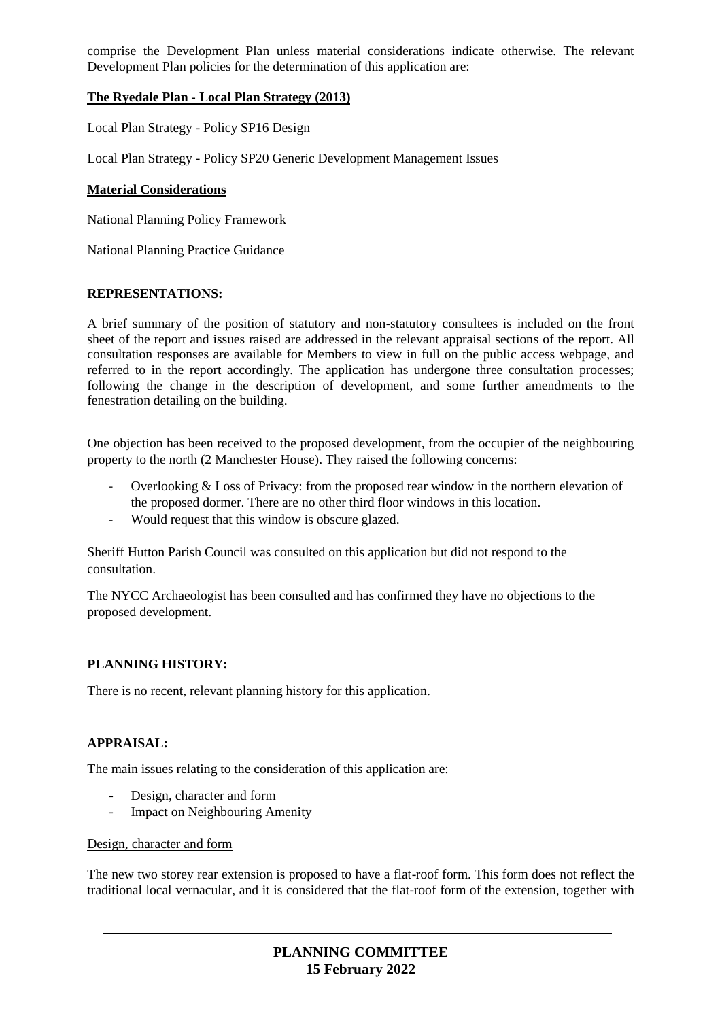comprise the Development Plan unless material considerations indicate otherwise. The relevant Development Plan policies for the determination of this application are:

# **The Ryedale Plan - Local Plan Strategy (2013)**

Local Plan Strategy - Policy SP16 Design

Local Plan Strategy - Policy SP20 Generic Development Management Issues

#### **Material Considerations**

National Planning Policy Framework

National Planning Practice Guidance

#### **REPRESENTATIONS:**

A brief summary of the position of statutory and non-statutory consultees is included on the front sheet of the report and issues raised are addressed in the relevant appraisal sections of the report. All consultation responses are available for Members to view in full on the public access webpage, and referred to in the report accordingly. The application has undergone three consultation processes; following the change in the description of development, and some further amendments to the fenestration detailing on the building.

One objection has been received to the proposed development, from the occupier of the neighbouring property to the north (2 Manchester House). They raised the following concerns:

- Overlooking & Loss of Privacy: from the proposed rear window in the northern elevation of the proposed dormer. There are no other third floor windows in this location.
- Would request that this window is obscure glazed.

Sheriff Hutton Parish Council was consulted on this application but did not respond to the consultation.

The NYCC Archaeologist has been consulted and has confirmed they have no objections to the proposed development.

#### **PLANNING HISTORY:**

There is no recent, relevant planning history for this application.

## **APPRAISAL:**

The main issues relating to the consideration of this application are:

- Design, character and form
- Impact on Neighbouring Amenity

### Design, character and form

The new two storey rear extension is proposed to have a flat-roof form. This form does not reflect the traditional local vernacular, and it is considered that the flat-roof form of the extension, together with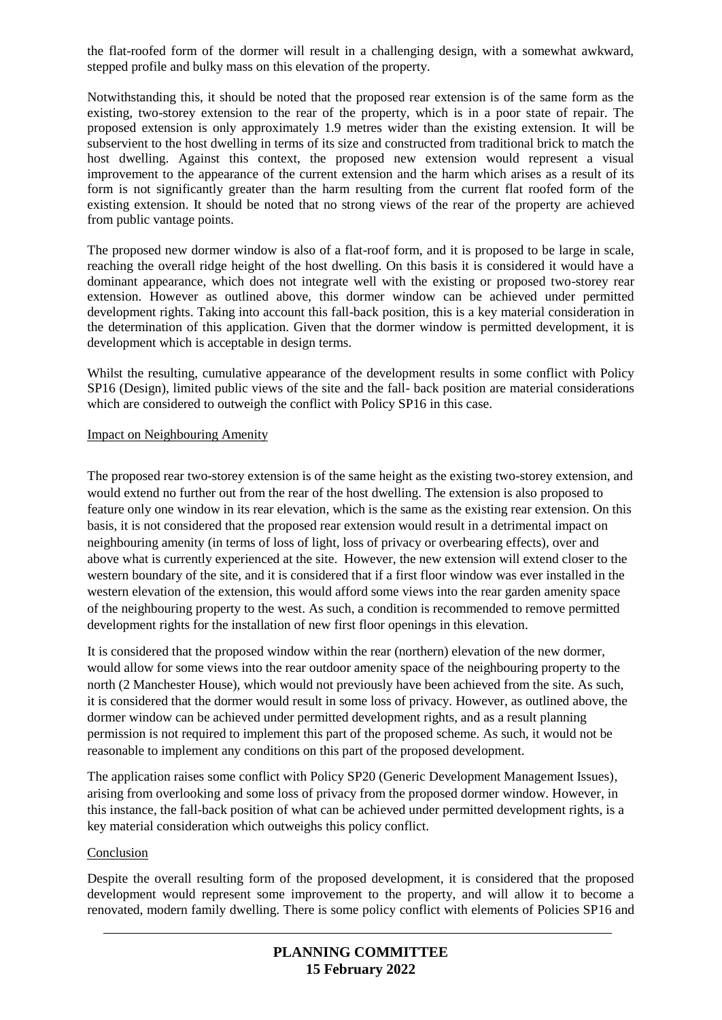the flat-roofed form of the dormer will result in a challenging design, with a somewhat awkward, stepped profile and bulky mass on this elevation of the property.

Notwithstanding this, it should be noted that the proposed rear extension is of the same form as the existing, two-storey extension to the rear of the property, which is in a poor state of repair. The proposed extension is only approximately 1.9 metres wider than the existing extension. It will be subservient to the host dwelling in terms of its size and constructed from traditional brick to match the host dwelling. Against this context, the proposed new extension would represent a visual improvement to the appearance of the current extension and the harm which arises as a result of its form is not significantly greater than the harm resulting from the current flat roofed form of the existing extension. It should be noted that no strong views of the rear of the property are achieved from public vantage points.

The proposed new dormer window is also of a flat-roof form, and it is proposed to be large in scale, reaching the overall ridge height of the host dwelling. On this basis it is considered it would have a dominant appearance, which does not integrate well with the existing or proposed two-storey rear extension. However as outlined above, this dormer window can be achieved under permitted development rights. Taking into account this fall-back position, this is a key material consideration in the determination of this application. Given that the dormer window is permitted development, it is development which is acceptable in design terms.

Whilst the resulting, cumulative appearance of the development results in some conflict with Policy SP16 (Design), limited public views of the site and the fall- back position are material considerations which are considered to outweigh the conflict with Policy SP16 in this case.

#### Impact on Neighbouring Amenity

The proposed rear two-storey extension is of the same height as the existing two-storey extension, and would extend no further out from the rear of the host dwelling. The extension is also proposed to feature only one window in its rear elevation, which is the same as the existing rear extension. On this basis, it is not considered that the proposed rear extension would result in a detrimental impact on neighbouring amenity (in terms of loss of light, loss of privacy or overbearing effects), over and above what is currently experienced at the site. However, the new extension will extend closer to the western boundary of the site, and it is considered that if a first floor window was ever installed in the western elevation of the extension, this would afford some views into the rear garden amenity space of the neighbouring property to the west. As such, a condition is recommended to remove permitted development rights for the installation of new first floor openings in this elevation.

It is considered that the proposed window within the rear (northern) elevation of the new dormer, would allow for some views into the rear outdoor amenity space of the neighbouring property to the north (2 Manchester House), which would not previously have been achieved from the site. As such, it is considered that the dormer would result in some loss of privacy. However, as outlined above, the dormer window can be achieved under permitted development rights, and as a result planning permission is not required to implement this part of the proposed scheme. As such, it would not be reasonable to implement any conditions on this part of the proposed development.

The application raises some conflict with Policy SP20 (Generic Development Management Issues), arising from overlooking and some loss of privacy from the proposed dormer window. However, in this instance, the fall-back position of what can be achieved under permitted development rights, is a key material consideration which outweighs this policy conflict.

#### Conclusion

Despite the overall resulting form of the proposed development, it is considered that the proposed development would represent some improvement to the property, and will allow it to become a renovated, modern family dwelling. There is some policy conflict with elements of Policies SP16 and